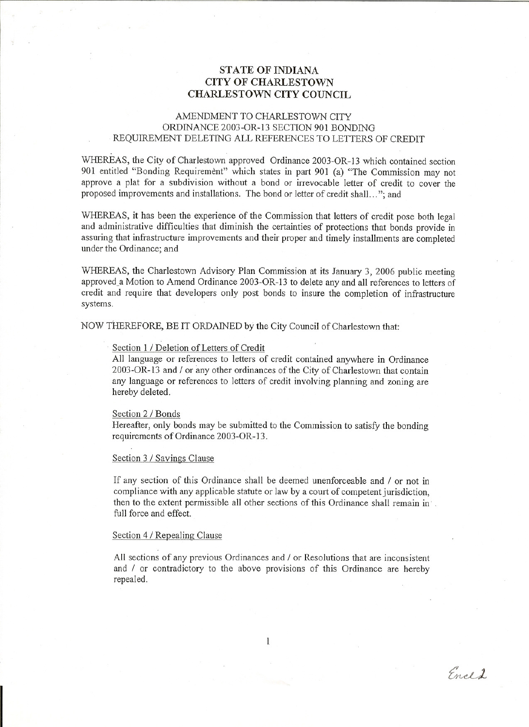# **STATE** OF INDIANA **CITY OF CHARLESTOWN CHARLESTOWN CITY COUNCIL**

## AMENDMENT TO CHARLESTOWN CITY ORDINANCE 2003-0R-13 SECTION 901 BONDING REQUIREMENT DELETING ALL REFERENCES TO LETTERS OF CREDIT

WHEREAS, the City of Charlestown approved Ordinance 2003-0R-13 which contained section 901 entitled "Bonding Requirement" which states in part 901 (a) "The Commission may not approve a plat for a subdivision without a bond or irrevocable letter of credit to cover the proposed improvements and installations. The bond or letter of credit shall. .. "; and

WHEREAS, it has been the experience of the Commission that letters of credit pose both legal and administrative difficulties that diminish the certainties of protections that bonds provide in assuring that infrastructure improvements and their proper and timely installments are completed under the Ordinance; and

WHEREAS, the Charlestown Advisory Plan Commission at its January 3, 2006 public meeting approved\_a Motion to Amend Ordinance 2003-0R-13 to delete any and all references to letters of credit and require that developers only post bonds to insure the completion of infrastructure systems.

NOW THEREFORE, BE IT ORDAINED by the City Council of Charlestown that:

### Section 1 / Deletion of Letters of Credit

All language or references to letters of credit contained anywhere in Ordinance 2003-0R-13 and / or any other ordinances of the City of Charlestown that contain any language or references to letters of credit involving planning and zoning are hereby deleted.

#### Section 2 / Bonds

Hereafter, only bonds may be submitted to the Commission to satisfy the bonding requirements of Ordinance 2003-0R-13.

#### Section 3 / Savings Clause

If any section of this Ordinance shall be deemed unenforceable and / or not in compliance with any applicable statute or law by a court of competent jurisdiction, then to the extent permissible all other sections of this Ordinance shall remain in' full force and effect.

#### Section 4 / Repealing Clause

All sections of any previous Ordinances and / or Resolutions that are inconsistent and / or contradictory to the above provisions of this Ordinance are hereby repealed.

Encl2